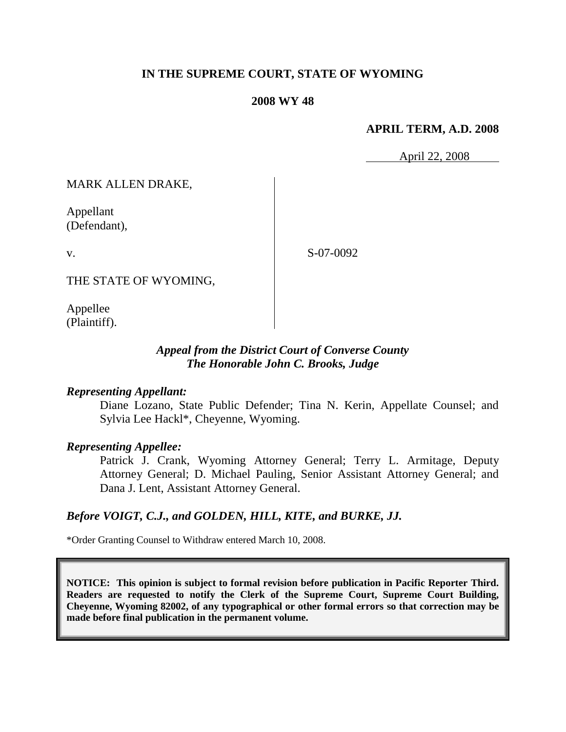# **IN THE SUPREME COURT, STATE OF WYOMING**

#### **2008 WY 48**

### **APRIL TERM, A.D. 2008**

April 22, 2008

MARK ALLEN DRAKE,

Appellant (Defendant),

v.

S-07-0092

THE STATE OF WYOMING,

Appellee (Plaintiff).

# *Appeal from the District Court of Converse County The Honorable John C. Brooks, Judge*

### *Representing Appellant:*

Diane Lozano, State Public Defender; Tina N. Kerin, Appellate Counsel; and Sylvia Lee Hackl\*, Cheyenne, Wyoming.

#### *Representing Appellee:*

Patrick J. Crank, Wyoming Attorney General; Terry L. Armitage, Deputy Attorney General; D. Michael Pauling, Senior Assistant Attorney General; and Dana J. Lent, Assistant Attorney General.

### *Before VOIGT, C.J., and GOLDEN, HILL, KITE, and BURKE, JJ.*

\*Order Granting Counsel to Withdraw entered March 10, 2008.

**NOTICE: This opinion is subject to formal revision before publication in Pacific Reporter Third. Readers are requested to notify the Clerk of the Supreme Court, Supreme Court Building, Cheyenne, Wyoming 82002, of any typographical or other formal errors so that correction may be made before final publication in the permanent volume.**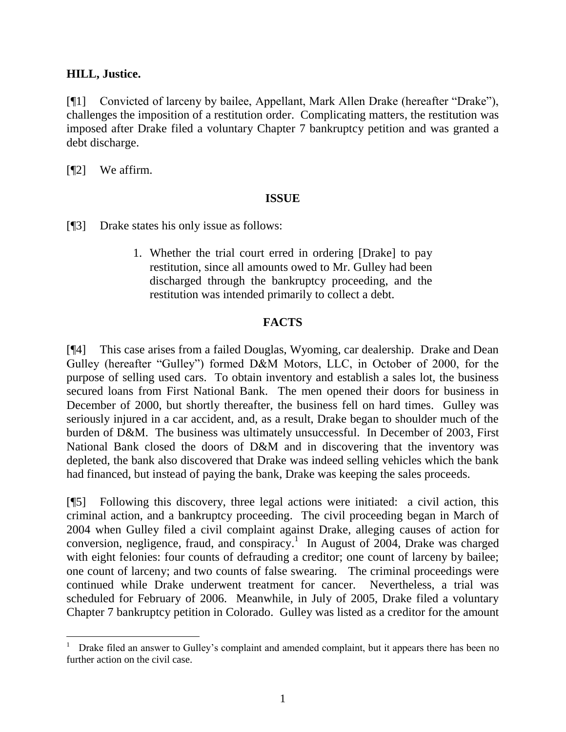## **HILL, Justice.**

[¶1] Convicted of larceny by bailee, Appellant, Mark Allen Drake (hereafter "Drake"), challenges the imposition of a restitution order. Complicating matters, the restitution was imposed after Drake filed a voluntary Chapter 7 bankruptcy petition and was granted a debt discharge.

[¶2] We affirm.

l

# **ISSUE**

[¶3] Drake states his only issue as follows:

1. Whether the trial court erred in ordering [Drake] to pay restitution, since all amounts owed to Mr. Gulley had been discharged through the bankruptcy proceeding, and the restitution was intended primarily to collect a debt.

# **FACTS**

[¶4] This case arises from a failed Douglas, Wyoming, car dealership. Drake and Dean Gulley (hereafter "Gulley") formed D&M Motors, LLC, in October of 2000, for the purpose of selling used cars. To obtain inventory and establish a sales lot, the business secured loans from First National Bank. The men opened their doors for business in December of 2000, but shortly thereafter, the business fell on hard times. Gulley was seriously injured in a car accident, and, as a result, Drake began to shoulder much of the burden of D&M. The business was ultimately unsuccessful. In December of 2003, First National Bank closed the doors of D&M and in discovering that the inventory was depleted, the bank also discovered that Drake was indeed selling vehicles which the bank had financed, but instead of paying the bank, Drake was keeping the sales proceeds.

[¶5] Following this discovery, three legal actions were initiated: a civil action, this criminal action, and a bankruptcy proceeding. The civil proceeding began in March of 2004 when Gulley filed a civil complaint against Drake, alleging causes of action for conversion, negligence, fraud, and conspiracy.<sup>1</sup> In August of 2004, Drake was charged with eight felonies: four counts of defrauding a creditor; one count of larceny by bailee; one count of larceny; and two counts of false swearing. The criminal proceedings were continued while Drake underwent treatment for cancer. Nevertheless, a trial was scheduled for February of 2006. Meanwhile, in July of 2005, Drake filed a voluntary Chapter 7 bankruptcy petition in Colorado. Gulley was listed as a creditor for the amount

<sup>1</sup> Drake filed an answer to Gulley's complaint and amended complaint, but it appears there has been no further action on the civil case.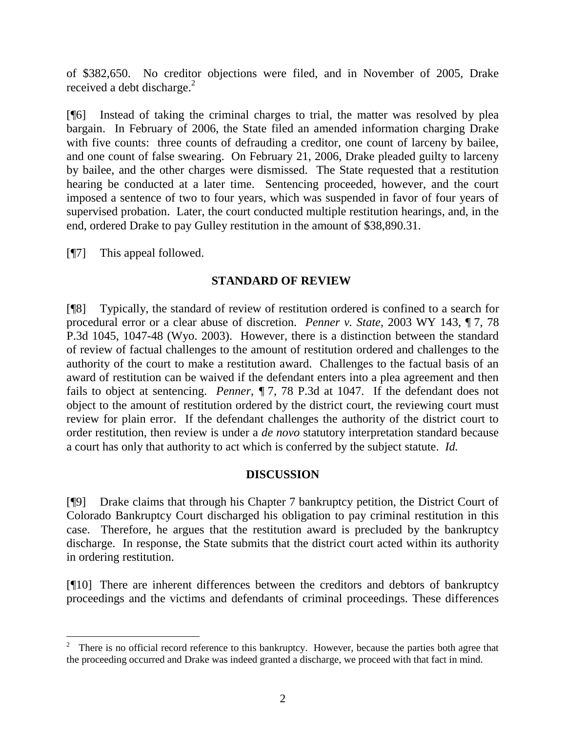of \$382,650. No creditor objections were filed, and in November of 2005, Drake received a debt discharge.<sup>2</sup>

[¶6] Instead of taking the criminal charges to trial, the matter was resolved by plea bargain. In February of 2006, the State filed an amended information charging Drake with five counts: three counts of defrauding a creditor, one count of larceny by bailee, and one count of false swearing. On February 21, 2006, Drake pleaded guilty to larceny by bailee, and the other charges were dismissed. The State requested that a restitution hearing be conducted at a later time. Sentencing proceeded, however, and the court imposed a sentence of two to four years, which was suspended in favor of four years of supervised probation. Later, the court conducted multiple restitution hearings, and, in the end, ordered Drake to pay Gulley restitution in the amount of \$38,890.31.

[¶7] This appeal followed.

# **STANDARD OF REVIEW**

[¶8] Typically, the standard of review of restitution ordered is confined to a search for procedural error or a clear abuse of discretion. *Penner v. State,* 2003 WY 143, ¶ 7, 78 P.3d 1045, 1047-48 (Wyo. 2003). However, there is a distinction between the standard of review of factual challenges to the amount of restitution ordered and challenges to the authority of the court to make a restitution award. Challenges to the factual basis of an award of restitution can be waived if the defendant enters into a plea agreement and then fails to object at sentencing. *Penner, ¶* 7*,* 78 P.3d at 1047. If the defendant does not object to the amount of restitution ordered by the district court, the reviewing court must review for plain error. If the defendant challenges the authority of the district court to order restitution, then review is under a *de novo* statutory interpretation standard because a court has only that authority to act which is conferred by the subject statute. *Id.*

# **DISCUSSION**

[¶9] Drake claims that through his Chapter 7 bankruptcy petition, the District Court of Colorado Bankruptcy Court discharged his obligation to pay criminal restitution in this case. Therefore, he argues that the restitution award is precluded by the bankruptcy discharge. In response, the State submits that the district court acted within its authority in ordering restitution.

[¶10] There are inherent differences between the creditors and debtors of bankruptcy proceedings and the victims and defendants of criminal proceedings. These differences

<sup>&</sup>lt;sup>2</sup> There is no official record reference to this bankruptcy. However, because the parties both agree that the proceeding occurred and Drake was indeed granted a discharge, we proceed with that fact in mind.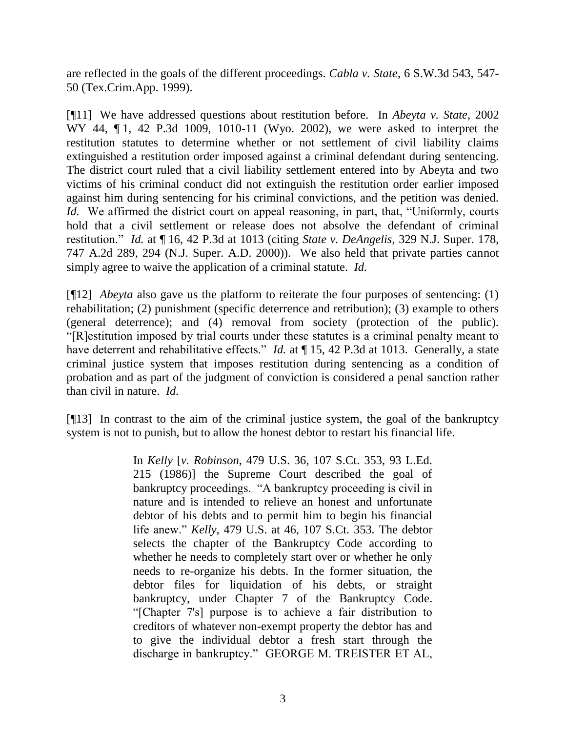are reflected in the goals of the different proceedings. *Cabla v. State*, 6 S.W.3d 543, 547- 50 (Tex.Crim.App. 1999).

[¶11] We have addressed questions about restitution before. In *Abeyta v. State*, 2002 WY 44, 1, 42 P.3d 1009, 1010-11 (Wyo. 2002), we were asked to interpret the restitution statutes to determine whether or not settlement of civil liability claims extinguished a restitution order imposed against a criminal defendant during sentencing. The district court ruled that a civil liability settlement entered into by Abeyta and two victims of his criminal conduct did not extinguish the restitution order earlier imposed against him during sentencing for his criminal convictions, and the petition was denied. *Id.* We affirmed the district court on appeal reasoning, in part, that, "Uniformly, courts hold that a civil settlement or release does not absolve the defendant of criminal restitution." *Id.* at ¶ 16, 42 P.3d at 1013 (citing *State v. DeAngelis*, 329 N.J. Super. 178, 747 A.2d 289, 294 (N.J. Super. A.D. 2000)). We also held that private parties cannot simply agree to waive the application of a criminal statute. *Id.*

[¶12] *Abeyta* also gave us the platform to reiterate the four purposes of sentencing: (1) rehabilitation; (2) punishment (specific deterrence and retribution); (3) example to others (general deterrence); and (4) removal from society (protection of the public). "[R]estitution imposed by trial courts under these statutes is a criminal penalty meant to have deterrent and rehabilitative effects." *Id.* at ¶ 15, 42 P.3d at 1013. Generally, a state criminal justice system that imposes restitution during sentencing as a condition of probation and as part of the judgment of conviction is considered a penal sanction rather than civil in nature. *Id.*

[¶13] In contrast to the aim of the criminal justice system, the goal of the bankruptcy system is not to punish, but to allow the honest debtor to restart his financial life.

> In *Kelly* [*v. Robinson*, 479 U.S. 36, 107 S.Ct. 353, 93 L.Ed. 215 (1986)] the Supreme Court described the goal of bankruptcy proceedings. "A bankruptcy proceeding is civil in nature and is intended to relieve an honest and unfortunate debtor of his debts and to permit him to begin his financial life anew." *Kelly,* 479 U.S. at 46, 107 S.Ct. 353*.* The debtor selects the chapter of the Bankruptcy Code according to whether he needs to completely start over or whether he only needs to re-organize his debts. In the former situation, the debtor files for liquidation of his debts, or straight bankruptcy, under Chapter 7 of the Bankruptcy Code. "[Chapter 7's] purpose is to achieve a fair distribution to creditors of whatever non-exempt property the debtor has and to give the individual debtor a fresh start through the discharge in bankruptcy." GEORGE M. TREISTER ET AL,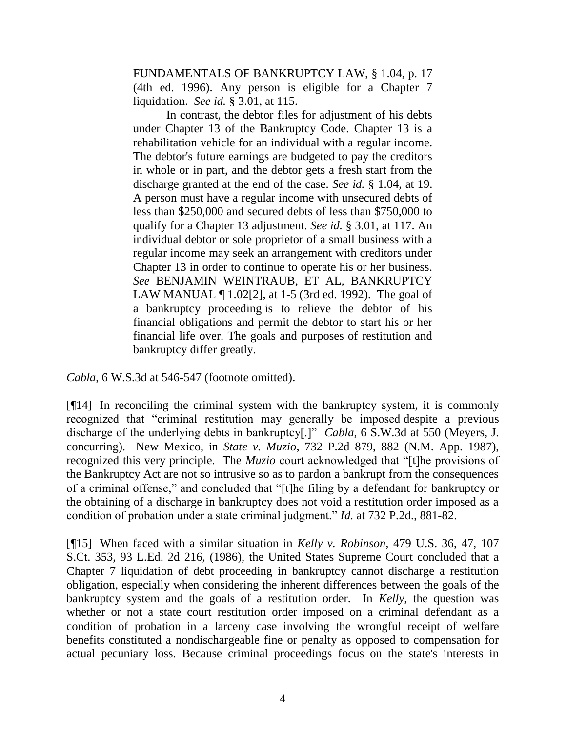FUNDAMENTALS OF BANKRUPTCY LAW, § 1.04, p. 17 (4th ed. 1996). Any person is eligible for a Chapter 7 liquidation. *See id.* § 3.01, at 115.

In contrast, the debtor files for adjustment of his debts under Chapter 13 of the Bankruptcy Code. Chapter 13 is a rehabilitation vehicle for an individual with a regular income. The debtor's future earnings are budgeted to pay the creditors in whole or in part, and the debtor gets a fresh start from the discharge granted at the end of the case. *See id.* § 1.04, at 19. A person must have a regular income with unsecured debts of less than \$250,000 and secured debts of less than \$750,000 to qualify for a Chapter 13 adjustment. *See id.* § 3.01, at 117. An individual debtor or sole proprietor of a small business with a regular income may seek an arrangement with creditors under Chapter 13 in order to continue to operate his or her business. *See* BENJAMIN WEINTRAUB, ET AL, BANKRUPTCY LAW MANUAL ¶ 1.02[2], at 1-5 (3rd ed. 1992). The goal of a bankruptcy proceeding is to relieve the debtor of his financial obligations and permit the debtor to start his or her financial life over. The goals and purposes of restitution and bankruptcy differ greatly.

*Cabla*, 6 W.S.3d at 546-547 (footnote omitted).

[¶14] In reconciling the criminal system with the bankruptcy system, it is commonly recognized that "criminal restitution may generally be imposed despite a previous discharge of the underlying debts in bankruptcy[.]" *Cabla*, 6 S.W.3d at 550 (Meyers, J. concurring). New Mexico, in *State v. Muzio*, 732 P.2d 879, 882 (N.M. App. 1987), recognized this very principle. The *Muzio* court acknowledged that "[t]he provisions of the Bankruptcy Act are not so intrusive so as to pardon a bankrupt from the consequences of a criminal offense," and concluded that "[t]he filing by a defendant for bankruptcy or the obtaining of a discharge in bankruptcy does not void a restitution order imposed as a condition of probation under a state criminal judgment." *Id.* at 732 P.2d., 881-82.

[¶15] When faced with a similar situation in *Kelly v. Robinson,* 479 U.S. 36, 47, 107 S.Ct. 353, 93 L.Ed. 2d 216, (1986), the United States Supreme Court concluded that a Chapter 7 liquidation of debt proceeding in bankruptcy cannot discharge a restitution obligation, especially when considering the inherent differences between the goals of the bankruptcy system and the goals of a restitution order. In *Kelly,* the question was whether or not a state court restitution order imposed on a criminal defendant as a condition of probation in a larceny case involving the wrongful receipt of welfare benefits constituted a nondischargeable fine or penalty as opposed to compensation for actual pecuniary loss. Because criminal proceedings focus on the state's interests in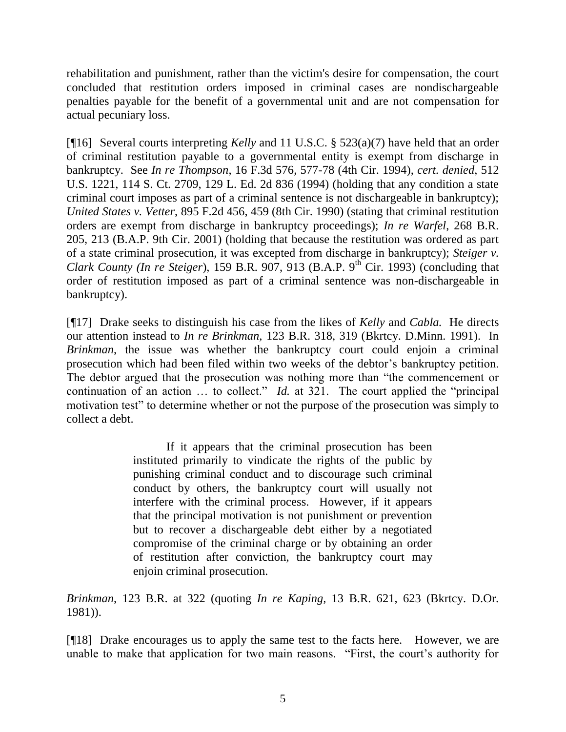rehabilitation and punishment, rather than the victim's desire for compensation, the court concluded that restitution orders imposed in criminal cases are nondischargeable penalties payable for the benefit of a governmental unit and are not compensation for actual pecuniary loss.

[¶16] Several courts interpreting *Kelly* and 11 U.S.C. § 523(a)(7) have held that an order of criminal restitution payable to a governmental entity is exempt from discharge in bankruptcy. See *In re Thompson*, 16 F.3d 576, 577-78 (4th Cir. 1994), *cert. denied*, 512 U.S. 1221, 114 S. Ct. 2709, 129 L. Ed. 2d 836 (1994) (holding that any condition a state criminal court imposes as part of a criminal sentence is not dischargeable in bankruptcy); *United States v. Vetter*, 895 F.2d 456, 459 (8th Cir. 1990) (stating that criminal restitution orders are exempt from discharge in bankruptcy proceedings); *In re Warfel*, 268 B.R. 205, 213 (B.A.P. 9th Cir. 2001) (holding that because the restitution was ordered as part of a state criminal prosecution, it was excepted from discharge in bankruptcy); *Steiger v. Clark County (In re Steiger)*, 159 B.R. 907, 913 (B.A.P. 9<sup>th</sup> Cir. 1993) (concluding that order of restitution imposed as part of a criminal sentence was non-dischargeable in bankruptcy).

[¶17] Drake seeks to distinguish his case from the likes of *Kelly* and *Cabla.* He directs our attention instead to *In re Brinkman,* 123 B.R. 318, 319 (Bkrtcy. D.Minn. 1991). In *Brinkman*, the issue was whether the bankruptcy court could enjoin a criminal prosecution which had been filed within two weeks of the debtor's bankruptcy petition. The debtor argued that the prosecution was nothing more than "the commencement or continuation of an action … to collect." *Id.* at 321. The court applied the "principal motivation test" to determine whether or not the purpose of the prosecution was simply to collect a debt.

> If it appears that the criminal prosecution has been instituted primarily to vindicate the rights of the public by punishing criminal conduct and to discourage such criminal conduct by others, the bankruptcy court will usually not interfere with the criminal process. However, if it appears that the principal motivation is not punishment or prevention but to recover a dischargeable debt either by a negotiated compromise of the criminal charge or by obtaining an order of restitution after conviction, the bankruptcy court may enjoin criminal prosecution.

*Brinkman*, 123 B.R. at 322 (quoting *In re Kaping,* 13 B.R. 621, 623 (Bkrtcy. D.Or. 1981)).

[¶18] Drake encourages us to apply the same test to the facts here. However, we are unable to make that application for two main reasons. "First, the court's authority for